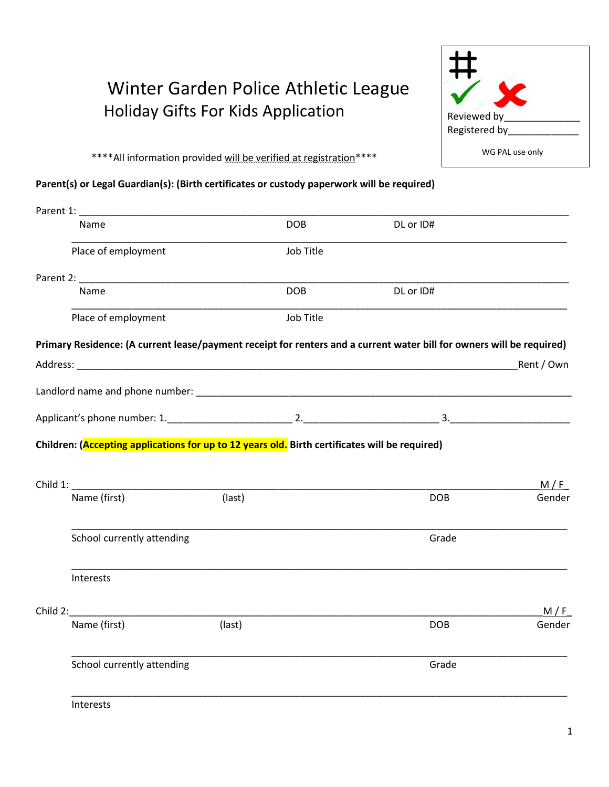## Winter Garden Police Athletic League Holiday Gifts For Kids Application



\*\*\*\*All information provided will be verified at registration\*\*\*\*

## **Parent(s) or Legal Guardian(s): (Birth certificates or custody paperwork will be required)**

| Parent 1: _____ |                                                                                                |        |            |                                                                                                                       |            |
|-----------------|------------------------------------------------------------------------------------------------|--------|------------|-----------------------------------------------------------------------------------------------------------------------|------------|
|                 | Name                                                                                           |        | <b>DOB</b> | DL or ID#                                                                                                             |            |
|                 | Place of employment                                                                            |        | Job Title  |                                                                                                                       |            |
|                 |                                                                                                |        |            |                                                                                                                       |            |
|                 | Name                                                                                           |        | <b>DOB</b> | DL or ID#                                                                                                             |            |
|                 | Place of employment                                                                            |        | Job Title  |                                                                                                                       |            |
|                 |                                                                                                |        |            | Primary Residence: (A current lease/payment receipt for renters and a current water bill for owners will be required) |            |
|                 |                                                                                                |        |            |                                                                                                                       | Rent / Own |
|                 |                                                                                                |        |            |                                                                                                                       |            |
|                 |                                                                                                |        |            |                                                                                                                       |            |
|                 | Children: (Accepting applications for up to 12 years old. Birth certificates will be required) |        |            |                                                                                                                       |            |
|                 |                                                                                                |        |            |                                                                                                                       |            |
|                 |                                                                                                |        |            |                                                                                                                       | M/F        |
|                 | Name (first)                                                                                   | (last) |            | <b>DOB</b>                                                                                                            | Gender     |
|                 | School currently attending                                                                     |        |            | Grade                                                                                                                 |            |
|                 | Interests                                                                                      |        |            |                                                                                                                       |            |
|                 | Child 2:                                                                                       |        |            |                                                                                                                       | M/F        |
|                 | Name (first)                                                                                   | (last) |            | <b>DOB</b>                                                                                                            | Gender     |
|                 | School currently attending                                                                     |        |            | Grade                                                                                                                 |            |
|                 | <b>Interests</b>                                                                               |        |            |                                                                                                                       |            |